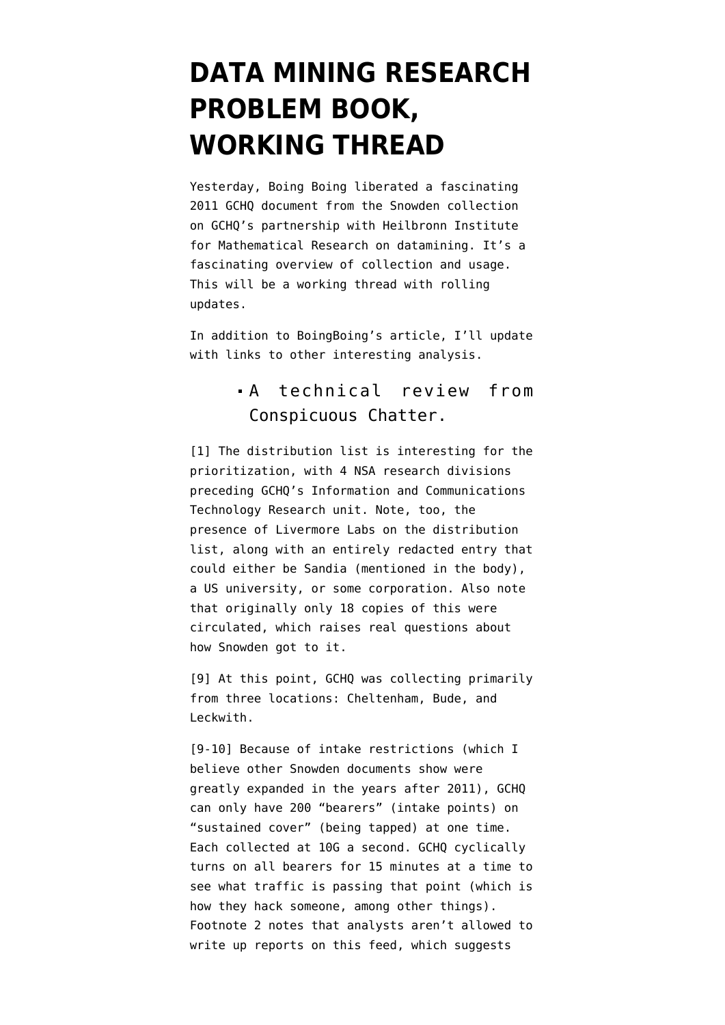## **[DATA MINING RESEARCH](https://www.emptywheel.net/2016/02/04/data-mining-research-problem-book-working-thread/) [PROBLEM BOOK,](https://www.emptywheel.net/2016/02/04/data-mining-research-problem-book-working-thread/) [WORKING THREAD](https://www.emptywheel.net/2016/02/04/data-mining-research-problem-book-working-thread/)**

Yesterday, [Boing Boing](https://boingboing.net/2016/02/02/doxxing-sherlock-3.html) liberated a fascinating 2011 GCHQ document from the Snowden collection on GCHQ's partnership with Heilbronn Institute for Mathematical Research on datamining. It's a fascinating overview of collection and usage. This will be a working thread with rolling updates.

In addition to BoingBoing's article, I'll update with links to other interesting analysis.

## A [technical review](https://conspicuouschatter.wordpress.com/2016/02/03/a-technical-reading-of-the-himr-data-mining-research-problem-book/) from Conspicuous Chatter.

[1] The distribution list is interesting for the prioritization, with 4 NSA research divisions preceding GCHQ's Information and Communications Technology Research unit. Note, too, the presence of Livermore Labs on the distribution list, along with an entirely redacted entry that could either be Sandia (mentioned in the body), a US university, or some corporation. Also note that originally only 18 copies of this were circulated, which raises real questions about how Snowden got to it.

[9] At this point, GCHQ was collecting primarily from three locations: Cheltenham, Bude, and Leckwith.

[9-10] Because of intake restrictions (which I believe other Snowden documents show were greatly expanded in the years after 2011), GCHQ can only have 200 "bearers" (intake points) on "sustained cover" (being tapped) at one time. Each collected at 10G a second. GCHQ cyclically turns on all bearers for 15 minutes at a time to see what traffic is passing that point (which is how they hack someone, among other things). Footnote 2 notes that analysts aren't allowed to write up reports on this feed, which suggests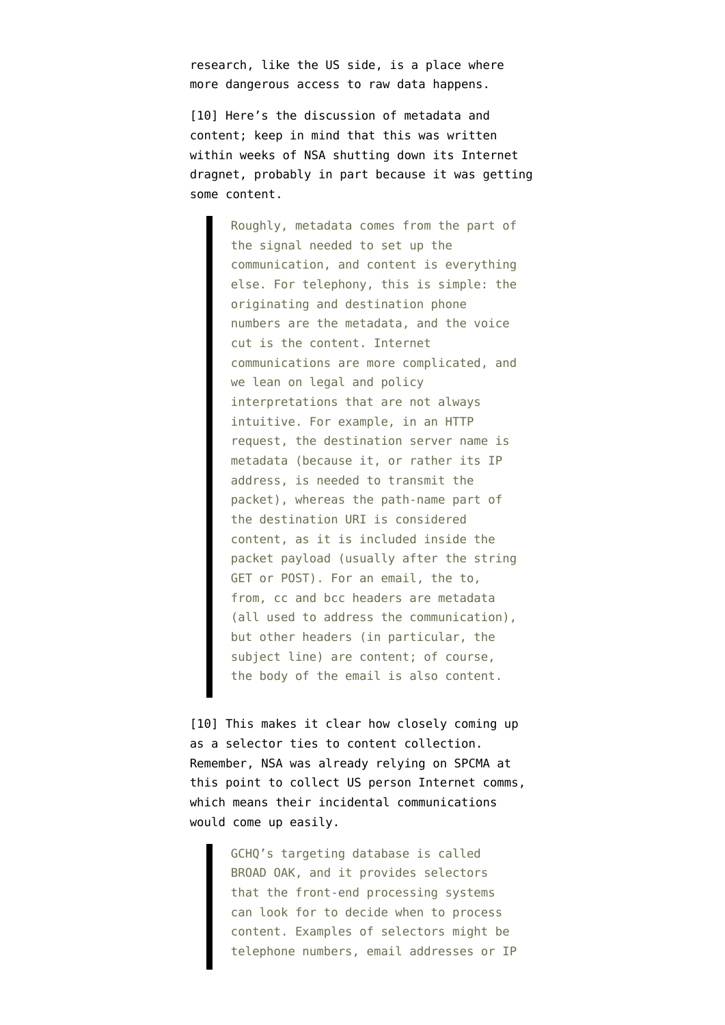research, like the US side, is a place where more dangerous access to raw data happens.

[10] Here's the discussion of metadata and content; keep in mind that this was written within weeks of NSA shutting down its Internet dragnet, probably in part because it was getting some content.

> Roughly, metadata comes from the part of the signal needed to set up the communication, and content is everything else. For telephony, this is simple: the originating and destination phone numbers are the metadata, and the voice cut is the content. Internet communications are more complicated, and we lean on legal and policy interpretations that are not always intuitive. For example, in an HTTP request, the destination server name is metadata (because it, or rather its IP address, is needed to transmit the packet), whereas the path-name part of the destination URI is considered content, as it is included inside the packet payload (usually after the string GET or POST). For an email, the to, from, cc and bcc headers are metadata (all used to address the communication), but other headers (in particular, the subject line) are content; of course, the body of the email is also content.

[10] This makes it clear how closely coming up as a selector ties to content collection. Remember, NSA was already relying on SPCMA at this point to collect US person Internet comms, which means their incidental communications would come up easily.

> GCHQ's targeting database is called BROAD OAK, and it provides selectors that the front-end processing systems can look for to decide when to process content. Examples of selectors might be telephone numbers, email addresses or IP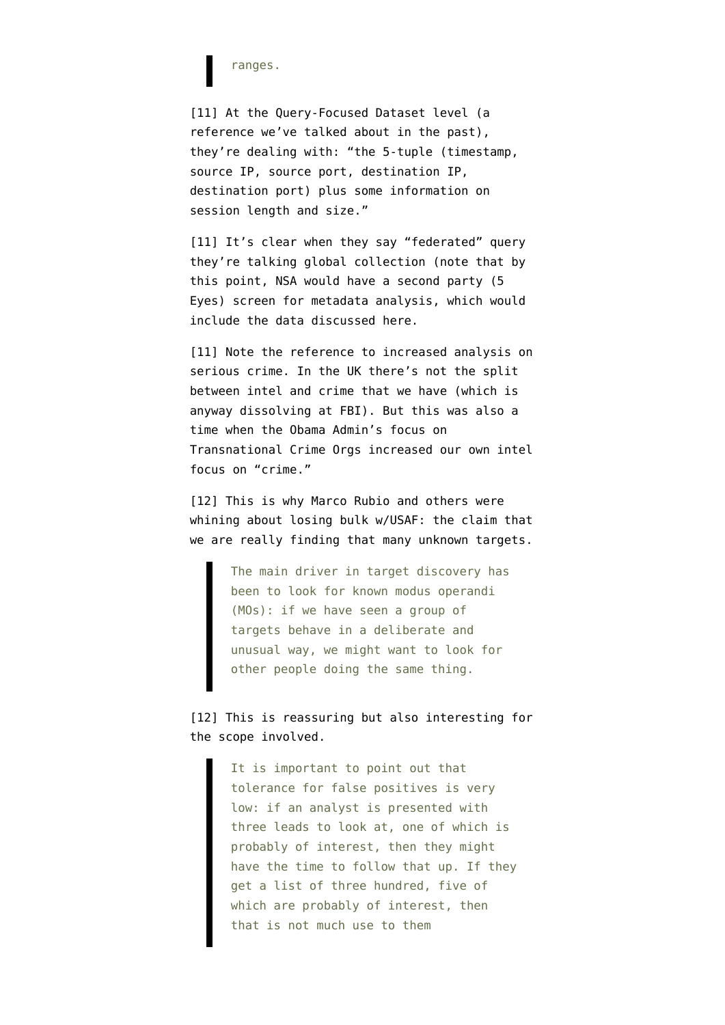ranges.

[11] At the Query-Focused Dataset level (a reference we've talked about in the past), they're dealing with: "the 5-tuple (timestamp, source IP, source port, destination IP, destination port) plus some information on session length and size."

[11] It's clear when they say "federated" query they're talking global collection (note that by this point, NSA would have a second party (5 Eyes) screen for metadata analysis, which would include the data discussed here.

[11] Note the reference to increased analysis on serious crime. In the UK there's not the split between intel and crime that we have (which is anyway dissolving at FBI). But this was also a time when the Obama Admin's focus on Transnational Crime Orgs increased our own intel focus on "crime."

[12] This is why Marco Rubio and others were whining about losing bulk w/USAF: the claim that we are really finding that many unknown targets.

> The main driver in target discovery has been to look for known modus operandi (MOs): if we have seen a group of targets behave in a deliberate and unusual way, we might want to look for other people doing the same thing.

[12] This is reassuring but also interesting for the scope involved.

> It is important to point out that tolerance for false positives is very low: if an analyst is presented with three leads to look at, one of which is probably of interest, then they might have the time to follow that up. If they get a list of three hundred, five of which are probably of interest, then that is not much use to them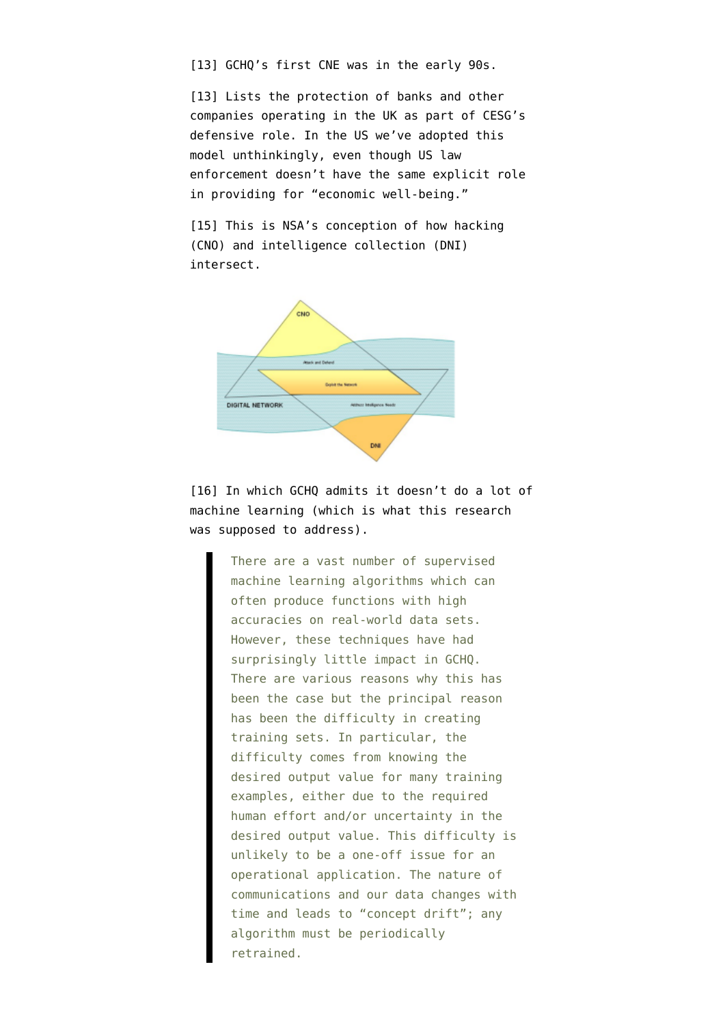[13] GCHQ's first CNE was in the early 90s.

[13] Lists the protection of banks and other companies operating in the UK as part of CESG's defensive role. In the US we've adopted this model unthinkingly, even though US law enforcement doesn't have the same explicit role in providing for "economic well-being."

[15] This is NSA's conception of how hacking (CNO) and intelligence collection (DNI) intersect.



[16] In which GCHQ admits it doesn't do a lot of machine learning (which is what this research was supposed to address).

> There are a vast number of supervised machine learning algorithms which can often produce functions with high accuracies on real-world data sets. However, these techniques have had surprisingly little impact in GCHQ. There are various reasons why this has been the case but the principal reason has been the difficulty in creating training sets. In particular, the difficulty comes from knowing the desired output value for many training examples, either due to the required human effort and/or uncertainty in the desired output value. This difficulty is unlikely to be a one-off issue for an operational application. The nature of communications and our data changes with time and leads to "concept drift"; any algorithm must be periodically retrained.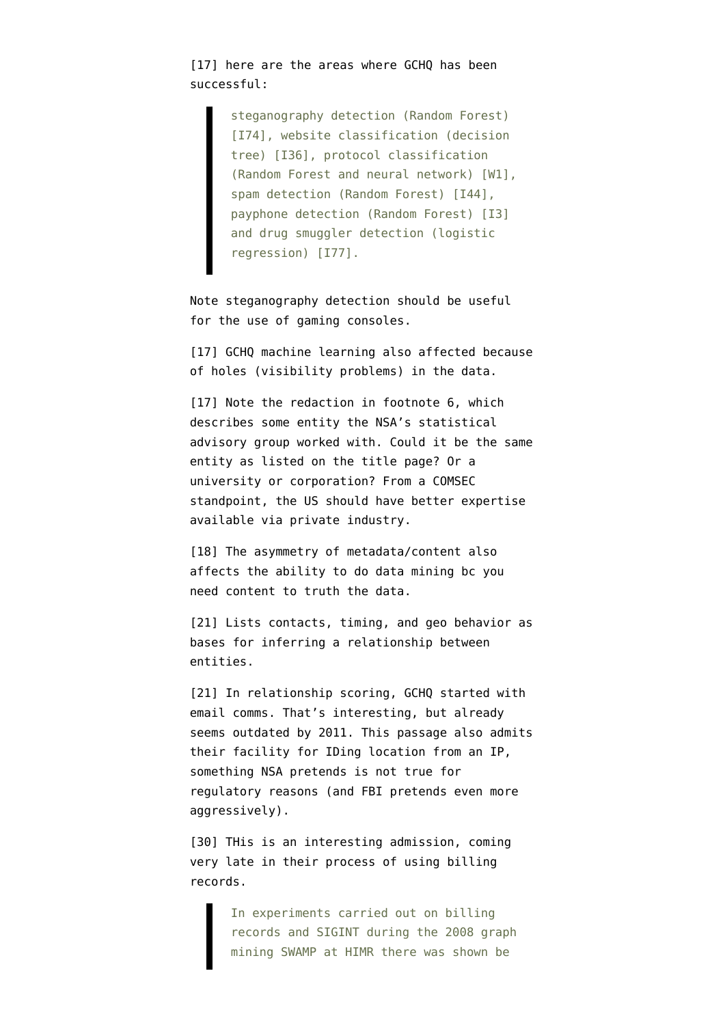[17] here are the areas where GCHO has been successful:

> steganography detection (Random Forest) [I74], website classification (decision tree) [I36], protocol classification (Random Forest and neural network) [W1], spam detection (Random Forest) [I44], payphone detection (Random Forest) [I3] and drug smuggler detection (logistic regression) [I77].

Note steganography detection should be useful for the use of gaming consoles.

[17] GCHO machine learning also affected because of holes (visibility problems) in the data.

[17] Note the redaction in footnote 6, which describes some entity the NSA's statistical advisory group worked with. Could it be the same entity as listed on the title page? Or a university or corporation? From a COMSEC standpoint, the US should have better expertise available via private industry.

[18] The asymmetry of metadata/content also affects the ability to do data mining bc you need content to truth the data.

[21] Lists contacts, timing, and geo behavior as bases for inferring a relationship between entities.

[21] In relationship scoring, GCHQ started with email comms. That's interesting, but already seems outdated by 2011. This passage also admits their facility for IDing location from an IP, something NSA pretends is not true for regulatory reasons (and FBI pretends even more aggressively).

[30] THis is an interesting admission, coming very late in their process of using billing records.

> In experiments carried out on billing records and SIGINT during the 2008 graph mining SWAMP at HIMR there was shown be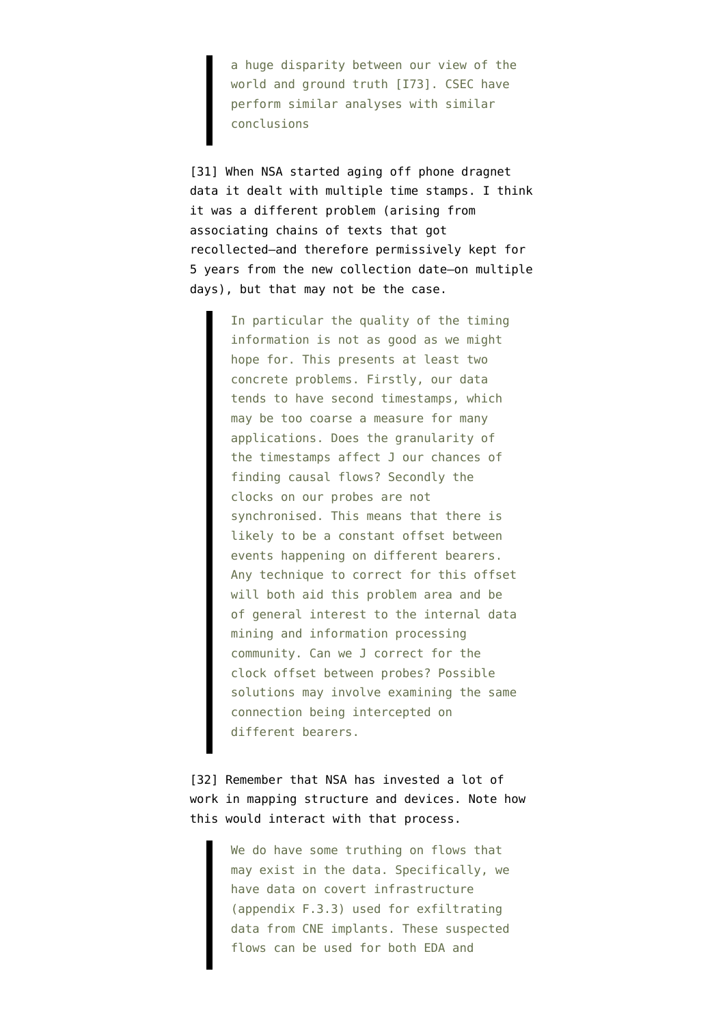a huge disparity between our view of the world and ground truth [I73]. CSEC have perform similar analyses with similar conclusions

[31] When NSA started aging off phone dragnet data it dealt with multiple time stamps. I think it was a different problem (arising from associating chains of texts that got recollected–and therefore permissively kept for 5 years from the new collection date–on multiple days), but that may not be the case.

> In particular the quality of the timing information is not as good as we might hope for. This presents at least two concrete problems. Firstly, our data tends to have second timestamps, which may be too coarse a measure for many applications. Does the granularity of the timestamps affect J our chances of finding causal flows? Secondly the clocks on our probes are not synchronised. This means that there is likely to be a constant offset between events happening on different bearers. Any technique to correct for this offset will both aid this problem area and be of general interest to the internal data mining and information processing community. Can we J correct for the clock offset between probes? Possible solutions may involve examining the same connection being intercepted on different bearers.

[32] Remember that NSA has invested a lot of work in mapping structure and devices. Note how this would interact with that process.

> We do have some truthing on flows that may exist in the data. Specifically, we have data on covert infrastructure (appendix F.3.3) used for exfiltrating data from CNE implants. These suspected flows can be used for both EDA and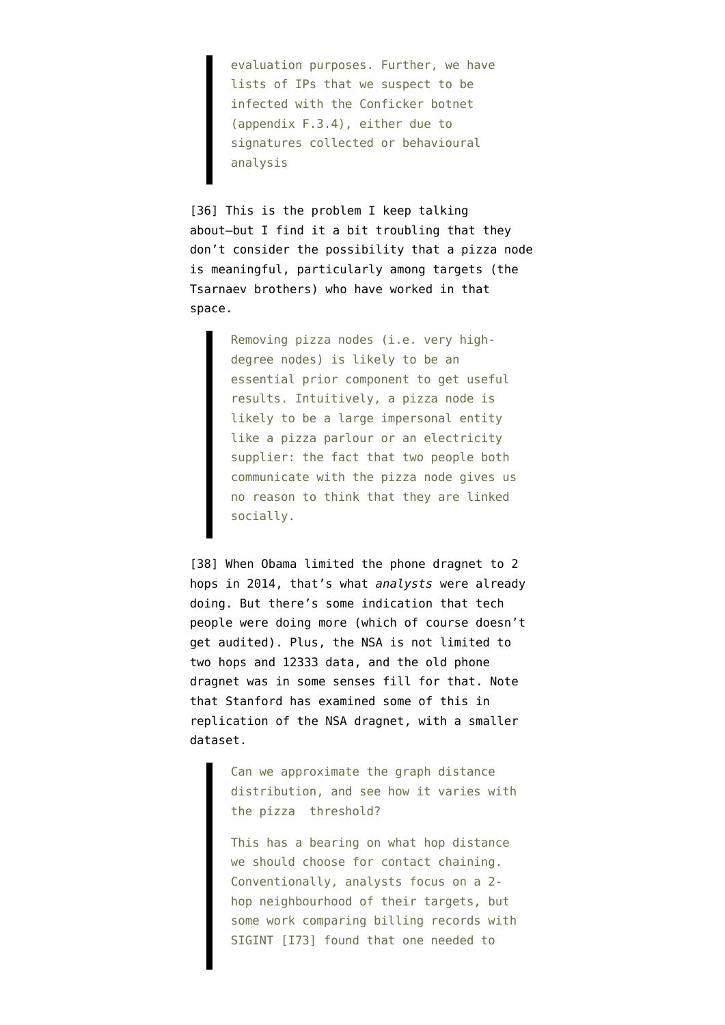evaluation purposes. Further, we have lists of IPs that we suspect to be infected with the Conficker botnet (appendix F.3.4), either due to signatures collected or behavioural analysis

[36] This is the problem I keep talking about–but I find it a bit troubling that they don't consider the possibility that a pizza node is meaningful, particularly among targets (the Tsarnaev brothers) who have worked in that space.

> Removing pizza nodes (i.e. very highdegree nodes) is likely to be an essential prior component to get useful results. Intuitively, a pizza node is likely to be a large impersonal entity like a pizza parlour or an electricity supplier: the fact that two people both communicate with the pizza node gives us no reason to think that they are linked socially.

[38] When Obama limited the phone dragnet to 2 hops in 2014, that's what *analysts* were already doing. But there's some indication that tech people were doing more (which of course doesn't get audited). Plus, the NSA is not limited to two hops and 12333 data, and the old phone dragnet was in some senses fill for that. Note that Stanford has examined some of this in replication of the NSA dragnet, with a smaller dataset.

> Can we approximate the graph distance distribution, and see how it varies with the pizza threshold?

> This has a bearing on what hop distance we should choose for contact chaining. Conventionally, analysts focus on a 2 hop neighbourhood of their targets, but some work comparing billing records with SIGINT [I73] found that one needed to